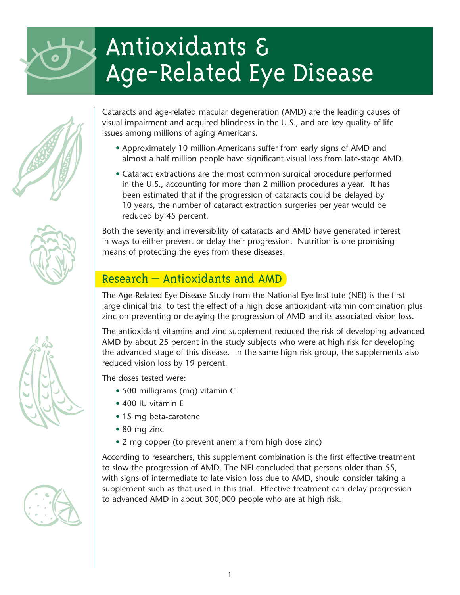



Cataracts and age-related macular degeneration (AMD) are the leading causes of visual impairment and acquired blindness in the U.S., and are key quality of life issues among millions of aging Americans.

- Approximately 10 million Americans suffer from early signs of AMD and almost a half million people have significant visual loss from late-stage AMD.
- Cataract extractions are the most common surgical procedure performed in the U.S., accounting for more than 2 million procedures a year. It has been estimated that if the progression of cataracts could be delayed by 10 years, the number of cataract extraction surgeries per year would be reduced by 45 percent.

Both the severity and irreversibility of cataracts and AMD have generated interest in ways to either prevent or delay their progression. Nutrition is one promising means of protecting the eyes from these diseases.

### Research – Antioxidants and AMD

The Age-Related Eye Disease Study from the National Eye Institute (NEI) is the first large clinical trial to test the effect of a high dose antioxidant vitamin combination plus zinc on preventing or delaying the progression of AMD and its associated vision loss.

The antioxidant vitamins and zinc supplement reduced the risk of developing advanced AMD by about 25 percent in the study subjects who were at high risk for developing the advanced stage of this disease. In the same high-risk group, the supplements also reduced vision loss by 19 percent.

The doses tested were:

- 500 milligrams (mg) vitamin C
- 400 IU vitamin E
- 15 mg beta-carotene
- 80 mg zinc
- 2 mg copper (to prevent anemia from high dose zinc)

1

According to researchers, this supplement combination is the first effective treatment to slow the progression of AMD. The NEI concluded that persons older than 55, with signs of intermediate to late vision loss due to AMD, should consider taking a supplement such as that used in this trial. Effective treatment can delay progression to advanced AMD in about 300,000 people who are at high risk.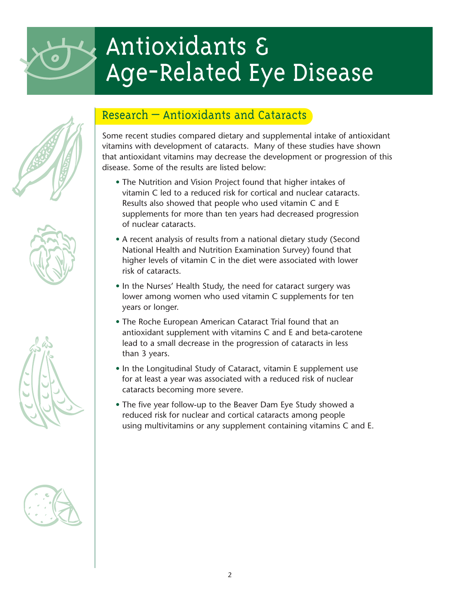









### Research – Antioxidants and Cataracts

Some recent studies compared dietary and supplemental intake of antioxidant vitamins with development of cataracts. Many of these studies have shown that antioxidant vitamins may decrease the development or progression of this disease. Some of the results are listed below:

- The Nutrition and Vision Project found that higher intakes of vitamin C led to a reduced risk for cortical and nuclear cataracts. Results also showed that people who used vitamin C and E supplements for more than ten years had decreased progression of nuclear cataracts.
- A recent analysis of results from a national dietary study (Second National Health and Nutrition Examination Survey) found that higher levels of vitamin C in the diet were associated with lower risk of cataracts.
- In the Nurses' Health Study, the need for cataract surgery was lower among women who used vitamin C supplements for ten years or longer.
- The Roche European American Cataract Trial found that an antioxidant supplement with vitamins C and E and beta-carotene lead to a small decrease in the progression of cataracts in less than 3 years.
- In the Longitudinal Study of Cataract, vitamin E supplement use for at least a year was associated with a reduced risk of nuclear cataracts becoming more severe.
- The five year follow-up to the Beaver Dam Eye Study showed a reduced risk for nuclear and cortical cataracts among people using multivitamins or any supplement containing vitamins C and E.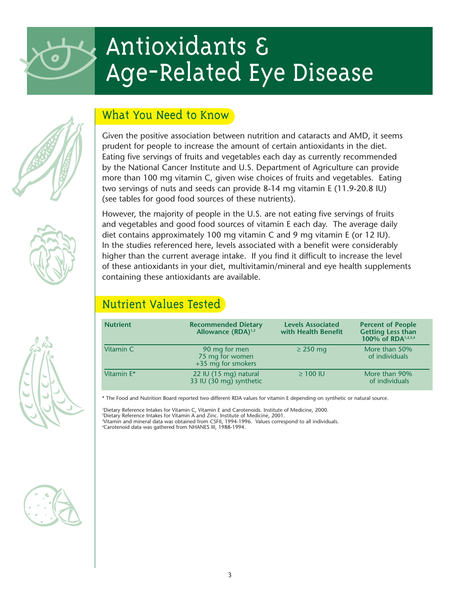





Given the positive association between nutrition and cataracts and AMD, it seems prudent for people to increase the amount of certain antioxidants in the diet. Eating five servings of fruits and vegetables each day as currently recommended by the National Cancer Institute and U.S. Department of Agriculture can provide more than 100 mg vitamin C, given wise choices of fruits and vegetables. Eating two servings of nuts and seeds can provide 8-14 mg vitamin E (11.9-20.8 IU) (see tables for good food sources of these nutrients).

However, the majority of people in the U.S. are not eating five servings of fruits and vegetables and good food sources of vitamin E each day. The average daily diet contains approximately 100 mg vitamin C and 9 mg vitamin E (or 12 IU). In the studies referenced here, levels associated with a benefit were considerably higher than the current average intake. If you find it difficult to increase the level of these antioxidants in your diet, multivitamin/mineral and eye health supplements containing these antioxidants are available.

### Nutrient Values Tested

| <b>Nutrient</b> | <b>Recommended Dietary</b><br>Allowance (RDA) <sup>1,2</sup> | <b>Levels Associated</b><br>with Health Benefit | <b>Percent of People</b><br><b>Getting Less than</b><br>100% of RDA <sup>1,2,3,4</sup> |
|-----------------|--------------------------------------------------------------|-------------------------------------------------|----------------------------------------------------------------------------------------|
| Vitamin C       | 90 mg for men<br>75 mg for women<br>+35 mg for smokers       | $\geq$ 250 mg                                   | More than 50%<br>of individuals                                                        |
| Vitamin E*      | 22 IU (15 mg) natural<br>33 IU (30 mg) synthetic             | $\geq$ 100 IU                                   | More than 90%<br>of individuals                                                        |

\* The Food and Nutrition Board reported two different RDA values for vitamin E depending on synthetic or natural source.

 Dietary Reference Intakes for Vitamin C, Vitamin E and Carotenoids. Institute of Medicine, 2000. Dietary Reference Intakes for Vitamin A and Zinc. Institute of Medicine, 2001. Vitamin and mineral data was obtained from CSFII, 1994-1996. Values correspond to all individuals. Carotenoid data was gathered from NHANES III, 1988-1994.